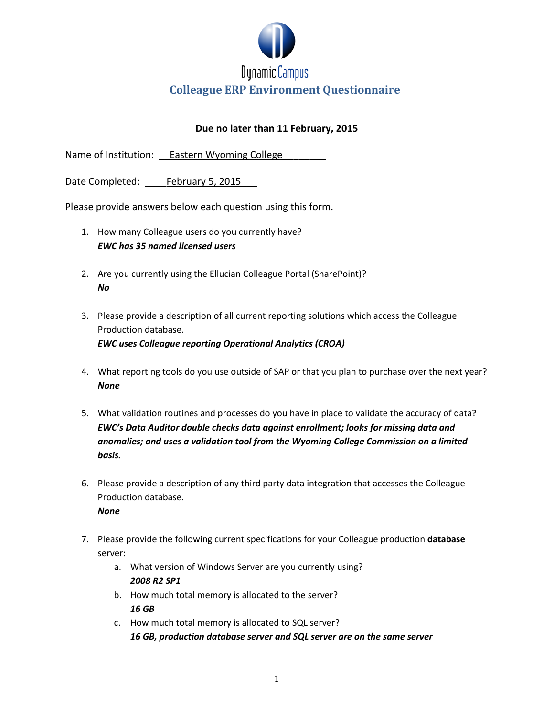

# **Colleague ERP Environment Questionnaire**

#### **Due no later than 11 February, 2015**

Name of Institution: Eastern Wyoming College

Date Completed: February 5, 2015

Please provide answers below each question using this form.

- 1. How many Colleague users do you currently have? *EWC has 35 named licensed users*
- 2. Are you currently using the Ellucian Colleague Portal (SharePoint)? *No*
- 3. Please provide a description of all current reporting solutions which access the Colleague Production database. *EWC uses Colleague reporting Operational Analytics (CROA)*
- 4. What reporting tools do you use outside of SAP or that you plan to purchase over the next year? *None*
- 5. What validation routines and processes do you have in place to validate the accuracy of data? *EWC's Data Auditor double checks data against enrollment; looks for missing data and anomalies; and uses a validation tool from the Wyoming College Commission on a limited basis.*

6. Please provide a description of any third party data integration that accesses the Colleague Production database.

*None*

- 7. Please provide the following current specifications for your Colleague production **database** server:
	- a. What version of Windows Server are you currently using? *2008 R2 SP1*
	- b. How much total memory is allocated to the server? *16 GB*
	- c. How much total memory is allocated to SQL server? *16 GB, production database server and SQL server are on the same server*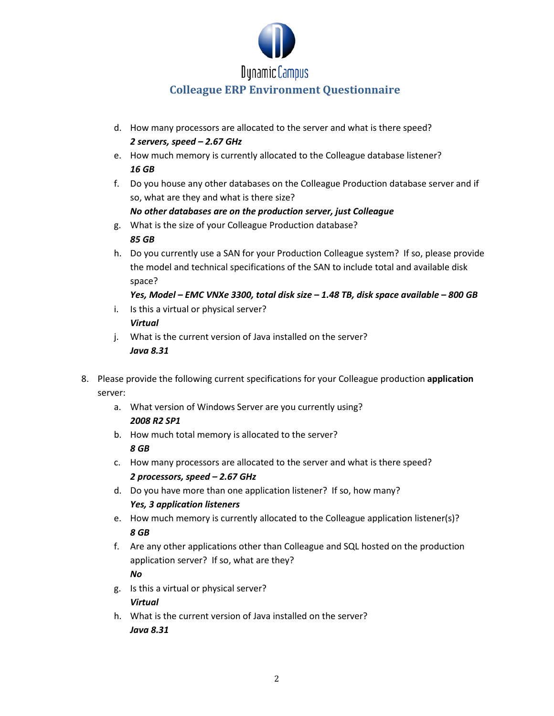

# **Dynamic Campus**

## **Colleague ERP Environment Questionnaire**

- d. How many processors are allocated to the server and what is there speed? *2 servers, speed – 2.67 GHz*
- e. How much memory is currently allocated to the Colleague database listener? *16 GB*
- f. Do you house any other databases on the Colleague Production database server and if so, what are they and what is there size?

### *No other databases are on the production server, just Colleague*

- g. What is the size of your Colleague Production database? *85 GB*
- h. Do you currently use a SAN for your Production Colleague system? If so, please provide the model and technical specifications of the SAN to include total and available disk space?

## *Yes, Model – EMC VNXe 3300, total disk size – 1.48 TB, disk space available – 800 GB*

- i. Is this a virtual or physical server? *Virtual*
- j. What is the current version of Java installed on the server? *Java 8.31*
- 8. Please provide the following current specifications for your Colleague production **application** server:
	- a. What version of Windows Server are you currently using? *2008 R2 SP1*
	- b. How much total memory is allocated to the server? *8 GB*
	- c. How many processors are allocated to the server and what is there speed? *2 processors, speed – 2.67 GHz*
	- d. Do you have more than one application listener? If so, how many? *Yes, 3 application listeners*
	- e. How much memory is currently allocated to the Colleague application listener(s)? *8 GB*
	- f. Are any other applications other than Colleague and SQL hosted on the production application server? If so, what are they?

#### *No*

- g. Is this a virtual or physical server? *Virtual*
- h. What is the current version of Java installed on the server? *Java 8.31*